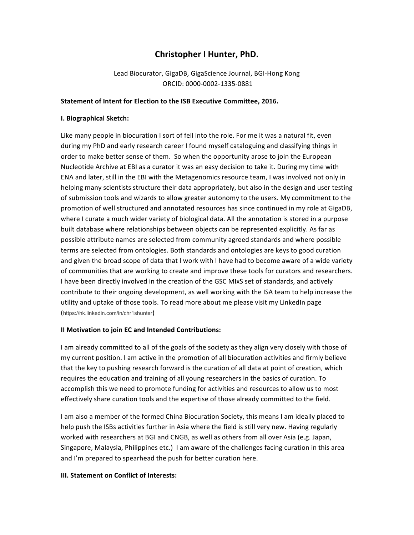# **Christopher I Hunter, PhD.**

Lead Biocurator, GigaDB, GigaScience Journal, BGI-Hong Kong ORCID: 0000-0002-1335-0881

### Statement of Intent for Election to the ISB Executive Committee, 2016.

### **I. Biographical Sketch:**

Like many people in biocuration I sort of fell into the role. For me it was a natural fit, even during my PhD and early research career I found myself cataloguing and classifying things in order to make better sense of them. So when the opportunity arose to join the European Nucleotide Archive at EBI as a curator it was an easy decision to take it. During my time with ENA and later, still in the EBI with the Metagenomics resource team, I was involved not only in helping many scientists structure their data appropriately, but also in the design and user testing of submission tools and wizards to allow greater autonomy to the users. My commitment to the promotion of well structured and annotated resources has since continued in my role at GigaDB, where I curate a much wider variety of biological data. All the annotation is stored in a purpose built database where relationships between objects can be represented explicitly. As far as possible attribute names are selected from community agreed standards and where possible terms are selected from ontologies. Both standards and ontologies are keys to good curation and given the broad scope of data that I work with I have had to become aware of a wide variety of communities that are working to create and improve these tools for curators and researchers. I have been directly involved in the creation of the GSC MIxS set of standards, and actively contribute to their ongoing development, as well working with the ISA team to help increase the utility and uptake of those tools. To read more about me please visit my LinkedIn page (https://hk.linkedin.com/in/chr1shunter)

#### **II Motivation to join EC and Intended Contributions:**

I am already committed to all of the goals of the society as they align very closely with those of my current position. I am active in the promotion of all biocuration activities and firmly believe that the key to pushing research forward is the curation of all data at point of creation, which requires the education and training of all young researchers in the basics of curation. To accomplish this we need to promote funding for activities and resources to allow us to most effectively share curation tools and the expertise of those already committed to the field.

I am also a member of the formed China Biocuration Society, this means I am ideally placed to help push the ISBs activities further in Asia where the field is still very new. Having regularly worked with researchers at BGI and CNGB, as well as others from all over Asia (e.g. Japan, Singapore, Malaysia, Philippines etc.) I am aware of the challenges facing curation in this area and I'm prepared to spearhead the push for better curation here.

## **III. Statement on Conflict of Interests:**